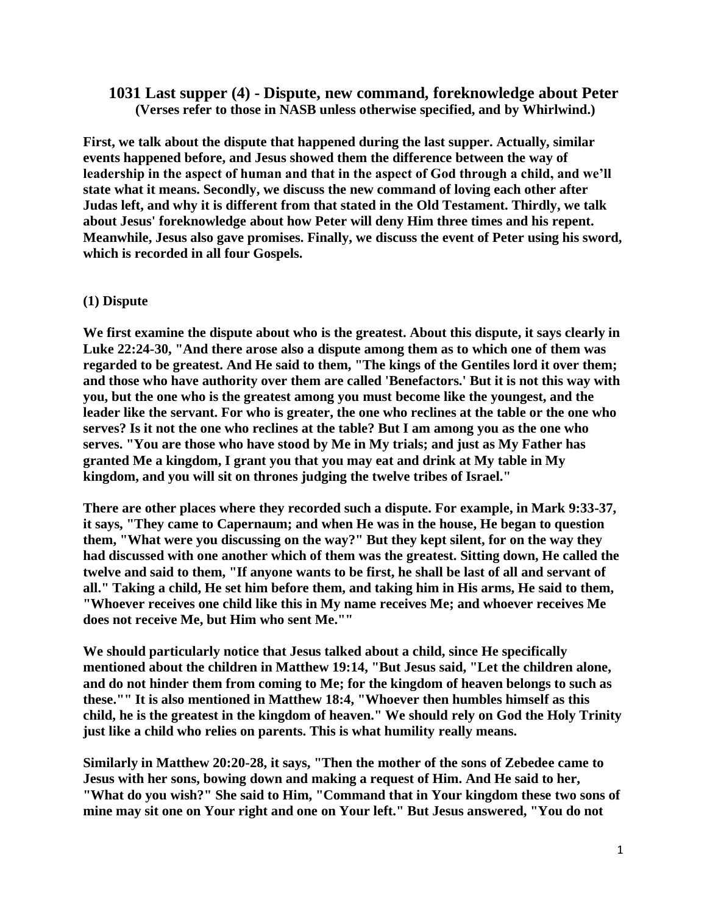# **1031 Last supper (4) - Dispute, new command, foreknowledge about Peter (Verses refer to those in NASB unless otherwise specified, and by Whirlwind.)**

**First, we talk about the dispute that happened during the last supper. Actually, similar events happened before, and Jesus showed them the difference between the way of leadership in the aspect of human and that in the aspect of God through a child, and we'll state what it means. Secondly, we discuss the new command of loving each other after Judas left, and why it is different from that stated in the Old Testament. Thirdly, we talk about Jesus' foreknowledge about how Peter will deny Him three times and his repent. Meanwhile, Jesus also gave promises. Finally, we discuss the event of Peter using his sword, which is recorded in all four Gospels.**

### **(1) Dispute**

**We first examine the dispute about who is the greatest. About this dispute, it says clearly in Luke 22:24-30, "And there arose also a dispute among them as to which one of them was regarded to be greatest. And He said to them, "The kings of the Gentiles lord it over them; and those who have authority over them are called 'Benefactors.' But it is not this way with you, but the one who is the greatest among you must become like the youngest, and the leader like the servant. For who is greater, the one who reclines at the table or the one who serves? Is it not the one who reclines at the table? But I am among you as the one who serves. "You are those who have stood by Me in My trials; and just as My Father has granted Me a kingdom, I grant you that you may eat and drink at My table in My kingdom, and you will sit on thrones judging the twelve tribes of Israel."**

**There are other places where they recorded such a dispute. For example, in Mark 9:33-37, it says, "They came to Capernaum; and when He was in the house, He began to question them, "What were you discussing on the way?" But they kept silent, for on the way they had discussed with one another which of them was the greatest. Sitting down, He called the twelve and said to them, "If anyone wants to be first, he shall be last of all and servant of all." Taking a child, He set him before them, and taking him in His arms, He said to them, "Whoever receives one child like this in My name receives Me; and whoever receives Me does not receive Me, but Him who sent Me.""**

**We should particularly notice that Jesus talked about a child, since He specifically mentioned about the children in Matthew 19:14, "But Jesus said, "Let the children alone, and do not hinder them from coming to Me; for the kingdom of heaven belongs to such as these."" It is also mentioned in Matthew 18:4, "Whoever then humbles himself as this child, he is the greatest in the kingdom of heaven." We should rely on God the Holy Trinity just like a child who relies on parents. This is what humility really means.**

**Similarly in Matthew 20:20-28, it says, "Then the mother of the sons of Zebedee came to Jesus with her sons, bowing down and making a request of Him. And He said to her, "What do you wish?" She said to Him, "Command that in Your kingdom these two sons of mine may sit one on Your right and one on Your left." But Jesus answered, "You do not**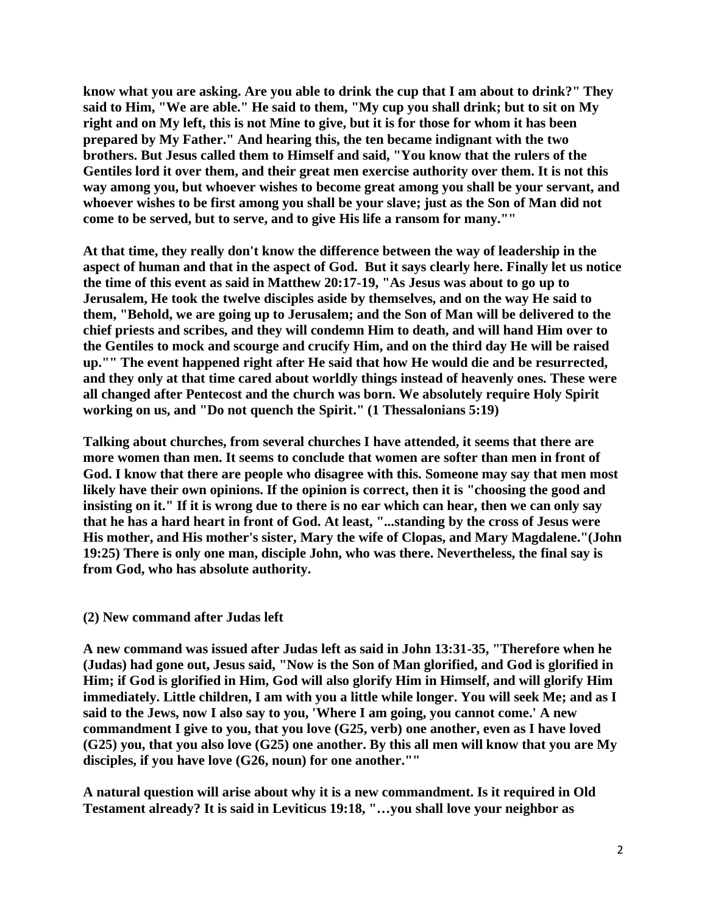**know what you are asking. Are you able to drink the cup that I am about to drink?" They said to Him, "We are able." He said to them, "My cup you shall drink; but to sit on My right and on My left, this is not Mine to give, but it is for those for whom it has been prepared by My Father." And hearing this, the ten became indignant with the two brothers. But Jesus called them to Himself and said, "You know that the rulers of the Gentiles lord it over them, and their great men exercise authority over them. It is not this way among you, but whoever wishes to become great among you shall be your servant, and whoever wishes to be first among you shall be your slave; just as the Son of Man did not come to be served, but to serve, and to give His life a ransom for many.""**

**At that time, they really don't know the difference between the way of leadership in the aspect of human and that in the aspect of God. But it says clearly here. Finally let us notice the time of this event as said in Matthew 20:17-19, "As Jesus was about to go up to Jerusalem, He took the twelve disciples aside by themselves, and on the way He said to them, "Behold, we are going up to Jerusalem; and the Son of Man will be delivered to the chief priests and scribes, and they will condemn Him to death, and will hand Him over to the Gentiles to mock and scourge and crucify Him, and on the third day He will be raised up."" The event happened right after He said that how He would die and be resurrected, and they only at that time cared about worldly things instead of heavenly ones. These were all changed after Pentecost and the church was born. We absolutely require Holy Spirit working on us, and "Do not quench the Spirit." (1 Thessalonians 5:19)**

**Talking about churches, from several churches I have attended, it seems that there are more women than men. It seems to conclude that women are softer than men in front of God. I know that there are people who disagree with this. Someone may say that men most likely have their own opinions. If the opinion is correct, then it is "choosing the good and insisting on it." If it is wrong due to there is no ear which can hear, then we can only say that he has a hard heart in front of God. At least, "...standing by the cross of Jesus were His mother, and His mother's sister, Mary the wife of Clopas, and Mary Magdalene."(John 19:25) There is only one man, disciple John, who was there. Nevertheless, the final say is from God, who has absolute authority.**

### **(2) New command after Judas left**

**A new command was issued after Judas left as said in John 13:31-35, "Therefore when he (Judas) had gone out, Jesus said, "Now is the Son of Man glorified, and God is glorified in Him; if God is glorified in Him, God will also glorify Him in Himself, and will glorify Him immediately. Little children, I am with you a little while longer. You will seek Me; and as I said to the Jews, now I also say to you, 'Where I am going, you cannot come.' A new commandment I give to you, that you love (G25, verb) one another, even as I have loved (G25) you, that you also love (G25) one another. By this all men will know that you are My disciples, if you have love (G26, noun) for one another.""**

**A natural question will arise about why it is a new commandment. Is it required in Old Testament already? It is said in Leviticus 19:18, "…you shall love your neighbor as**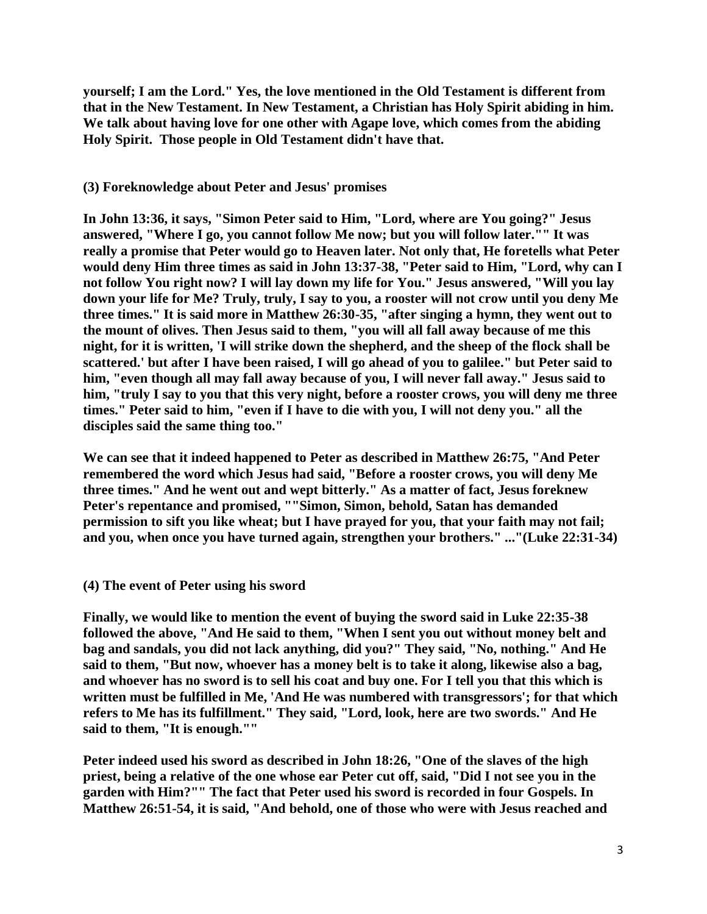**yourself; I am the Lord." Yes, the love mentioned in the Old Testament is different from that in the New Testament. In New Testament, a Christian has Holy Spirit abiding in him. We talk about having love for one other with Agape love, which comes from the abiding Holy Spirit. Those people in Old Testament didn't have that.**

#### **(3) Foreknowledge about Peter and Jesus' promises**

**In John 13:36, it says, "Simon Peter said to Him, "Lord, where are You going?" Jesus answered, "Where I go, you cannot follow Me now; but you will follow later."" It was really a promise that Peter would go to Heaven later. Not only that, He foretells what Peter would deny Him three times as said in John 13:37-38, "Peter said to Him, "Lord, why can I not follow You right now? I will lay down my life for You." Jesus answered, "Will you lay down your life for Me? Truly, truly, I say to you, a rooster will not crow until you deny Me three times." It is said more in Matthew 26:30-35, "after singing a hymn, they went out to the mount of olives. Then Jesus said to them, "you will all fall away because of me this night, for it is written, 'I will strike down the shepherd, and the sheep of the flock shall be scattered.' but after I have been raised, I will go ahead of you to galilee." but Peter said to him, "even though all may fall away because of you, I will never fall away." Jesus said to him, "truly I say to you that this very night, before a rooster crows, you will deny me three times." Peter said to him, "even if I have to die with you, I will not deny you." all the disciples said the same thing too."**

**We can see that it indeed happened to Peter as described in Matthew 26:75, "And Peter remembered the word which Jesus had said, "Before a rooster crows, you will deny Me three times." And he went out and wept bitterly." As a matter of fact, Jesus foreknew Peter's repentance and promised, ""Simon, Simon, behold, Satan has demanded permission to sift you like wheat; but I have prayed for you, that your faith may not fail; and you, when once you have turned again, strengthen your brothers." ..."(Luke 22:31-34)**

## **(4) The event of Peter using his sword**

**Finally, we would like to mention the event of buying the sword said in Luke 22:35-38 followed the above, "And He said to them, "When I sent you out without money belt and bag and sandals, you did not lack anything, did you?" They said, "No, nothing." And He said to them, "But now, whoever has a money belt is to take it along, likewise also a bag, and whoever has no sword is to sell his coat and buy one. For I tell you that this which is written must be fulfilled in Me, 'And He was numbered with transgressors'; for that which refers to Me has its fulfillment." They said, "Lord, look, here are two swords." And He said to them, "It is enough.""**

**Peter indeed used his sword as described in John 18:26, "One of the slaves of the high priest, being a relative of the one whose ear Peter cut off, said, "Did I not see you in the garden with Him?"" The fact that Peter used his sword is recorded in four Gospels. In Matthew 26:51-54, it is said, "And behold, one of those who were with Jesus reached and**